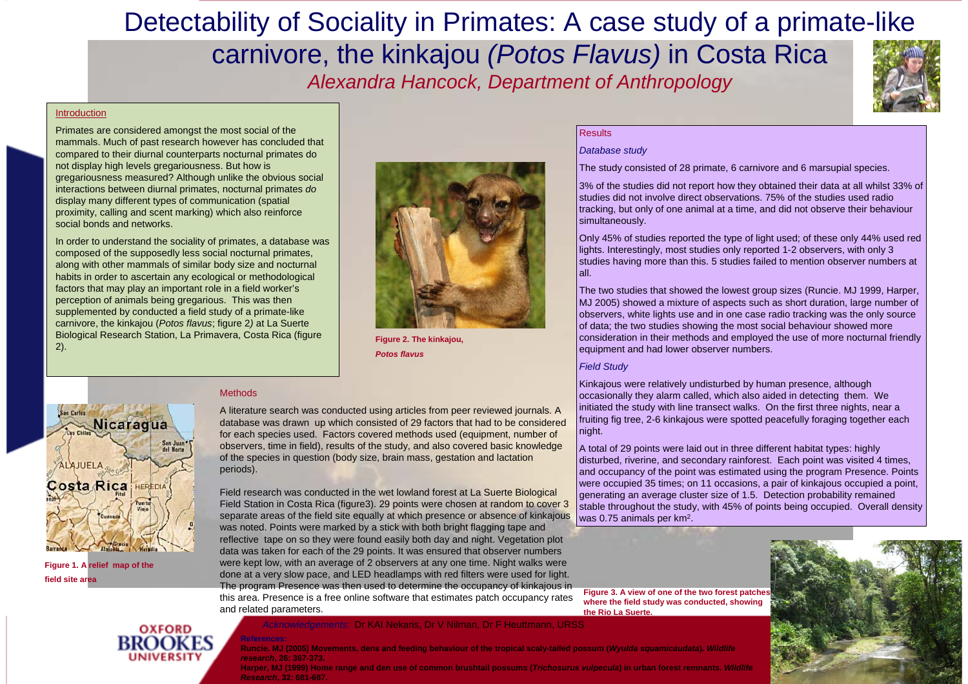# Detectability of Sociality in Primates: A case study of a primate-like

## carnivore, the kinkajou *(Potos Flavus)* in Costa Rica *Alexandra Hancock, Department of Anthropology*



#### Introduction

Primates are considered amongst the most social of the mammals. Much of past research however has concluded that compared to their diurnal counterparts nocturnal primates do not display high levels gregariousness. But how is gregariousness measured? Although unlike the obvious social interactions between diurnal primates, nocturnal primates *do* display many different types of communication (spatial proximity, calling and scent marking) which also reinforce social bonds and networks.

In order to understand the sociality of primates, a database was composed of the supposedly less social nocturnal primates, along with other mammals of similar body size and nocturnal habits in order to ascertain any ecological or methodological factors that may play an important role in a field worker's perception of animals being gregarious. This was then supplemented by conducted a field study of a primate-like carnivore, the kinkajou (*Potos flavus*; figure 2*)* at La Suerte Biological Research Station, La Primavera, Costa Rica (figure 2).

**Methods** 



**Figure 2. The kinkajou,**  *Potos flavus*



**OXFORD** 

**Figure 1. A relief map of the field site area**

A literature search was conducted using articles from peer reviewed journals. A database was drawn up which consisted of 29 factors that had to be considered for each species used. Factors covered methods used (equipment, number of observers, time in field), results of the study, and also covered basic knowledge of the species in question (body size, brain mass, gestation and lactation periods).

Field research was conducted in the wet lowland forest at La Suerte Biological Field Station in Costa Rica (figure3). 29 points were chosen at random to cover 3 separate areas of the field site equally at which presence or absence of kinkajous was noted. Points were marked by a stick with both bright flagging tape and reflective tape on so they were found easily both day and night. Vegetation plot data was taken for each of the 29 points. It was ensured that observer numbers were kept low, with an average of 2 observers at any one time. Night walks were done at a very slow pace, and LED headlamps with red filters were used for light. The program Presence was then used to determine the occupancy of kinkajous in this area. Presence is a free online software that estimates patch occupancy rates and related parameters.

#### *Acknowledgements:* Dr KAI Nekaris, Dr V Nilman, Dr F Heuttmann, URSS

Figure 3. A view of one of the two forest patche **where the field study was conducted, showing the Rio La Suerte.**



**Runcie. MJ (2005) Movements, dens and feeding behaviour of the tropical scaly-tailed possum (***Wyulda squamicaudata***).** *Wildlife research***, 26: 367-373.**

**Harper, MJ (1999) Home range and den use of common brushtail possums (***Trichosurus vulpecula***) in urban forest remnants.** *Wildlife Research***, 32: 681-687.**

### **Results**

### *Database study*

The study consisted of 28 primate, 6 carnivore and 6 marsupial species.

3% of the studies did not report how they obtained their data at all whilst 33% of studies did not involve direct observations. 75% of the studies used radio tracking, but only of one animal at a time, and did not observe their behaviour simultaneously.

Only 45% of studies reported the type of light used; of these only 44% used red lights. Interestingly, most studies only reported 1-2 observers, with only 3 studies having more than this. 5 studies failed to mention observer numbers at all.

The two studies that showed the lowest group sizes (Runcie. MJ 1999, Harper, MJ 2005) showed a mixture of aspects such as short duration, large number of observers, white lights use and in one case radio tracking was the only source of data; the two studies showing the most social behaviour showed more consideration in their methods and employed the use of more nocturnal friendly equipment and had lower observer numbers.

### *Field Study*

Kinkajous were relatively undisturbed by human presence, although occasionally they alarm called, which also aided in detecting them. We initiated the study with line transect walks. On the first three nights, near a fruiting fig tree, 2-6 kinkajous were spotted peacefully foraging together each night.

A total of 29 points were laid out in three different habitat types: highly disturbed, riverine, and secondary rainforest. Each point was visited 4 times, and occupancy of the point was estimated using the program Presence. Points were occupied 35 times; on 11 occasions, a pair of kinkajous occupied a point, generating an average cluster size of 1.5. Detection probability remained stable throughout the study, with 45% of points being occupied. Overall density was 0.75 animals per km2.